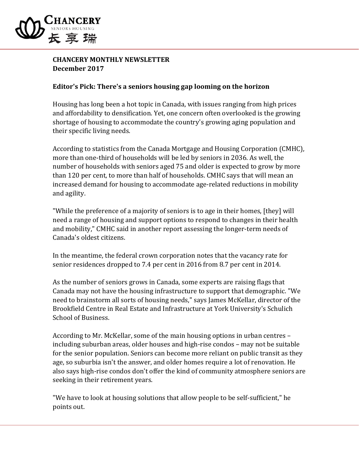

## **CHANCERY MONTHLY NEWSLETTER December 2017**

## **Editor's Pick: There's a seniors housing gap looming on the horizon**

Housing has long been a hot topic in Canada, with issues ranging from high prices and affordability to densification. Yet, one concern often overlooked is the growing shortage of housing to accommodate the country's growing aging population and their specific living needs.

According to statistics from the Canada Mortgage and Housing Corporation (CMHC), more than one-third of households will be led by seniors in 2036. As well, the number of households with seniors aged 75 and older is expected to grow by more than 120 per cent, to more than half of households. CMHC says that will mean an increased demand for housing to accommodate age-related reductions in mobility and agility.

"While the preference of a majority of seniors is to age in their homes, [they] will need a range of housing and support options to respond to changes in their health and mobility," CMHC said in another report assessing the longer-term needs of Canada's oldest citizens.

In the meantime, the federal crown corporation notes that the vacancy rate for senior residences dropped to 7.4 per cent in 2016 from 8.7 per cent in 2014.

As the number of seniors grows in Canada, some experts are raising flags that Canada may not have the housing infrastructure to support that demographic. "We need to brainstorm all sorts of housing needs," says James McKellar, director of the Brookfield Centre in Real Estate and Infrastructure at York University's Schulich School of Business.

According to Mr. McKellar, some of the main housing options in urban centres – including suburban areas, older houses and high-rise condos – may not be suitable for the senior population. Seniors can become more reliant on public transit as they age, so suburbia isn't the answer, and older homes require a lot of renovation. He also says high-rise condos don't offer the kind of community atmosphere seniors are seeking in their retirement years.

"We have to look at housing solutions that allow people to be self-sufficient," he points out.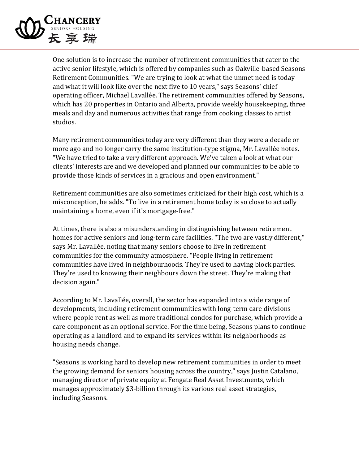

One solution is to increase the number of retirement communities that cater to the active senior lifestyle, which is offered by companies such as Oakville-based Seasons Retirement Communities. "We are trying to look at what the unmet need is today and what it will look like over the next five to 10 years," says Seasons' chief operating officer, Michael Lavallée. The retirement communities offered by Seasons, which has 20 properties in Ontario and Alberta, provide weekly housekeeping, three meals and day and numerous activities that range from cooking classes to artist studios.

Many retirement communities today are very different than they were a decade or more ago and no longer carry the same institution-type stigma, Mr. Lavallée notes. "We have tried to take a very different approach. We've taken a look at what our clients' interests are and we developed and planned our communities to be able to provide those kinds of services in a gracious and open environment."

Retirement communities are also sometimes criticized for their high cost, which is a misconception, he adds. "To live in a retirement home today is so close to actually maintaining a home, even if it's mortgage-free."

At times, there is also a misunderstanding in distinguishing between retirement homes for active seniors and long-term care facilities. "The two are vastly different," says Mr. Lavallée, noting that many seniors choose to live in retirement communities for the community atmosphere. "People living in retirement communities have lived in neighbourhoods. They're used to having block parties. They're used to knowing their neighbours down the street. They're making that decision again."

According to Mr. Lavallée, overall, the sector has expanded into a wide range of developments, including retirement communities with long-term care divisions where people rent as well as more traditional condos for purchase, which provide a care component as an optional service. For the time being, Seasons plans to continue operating as a landlord and to expand its services within its neighborhoods as housing needs change.

"Seasons is working hard to develop new retirement communities in order to meet the growing demand for seniors housing across the country," says Justin Catalano, managing director of private equity at Fengate Real Asset Investments, which manages approximately \$3-billion through its various real asset strategies, including Seasons.